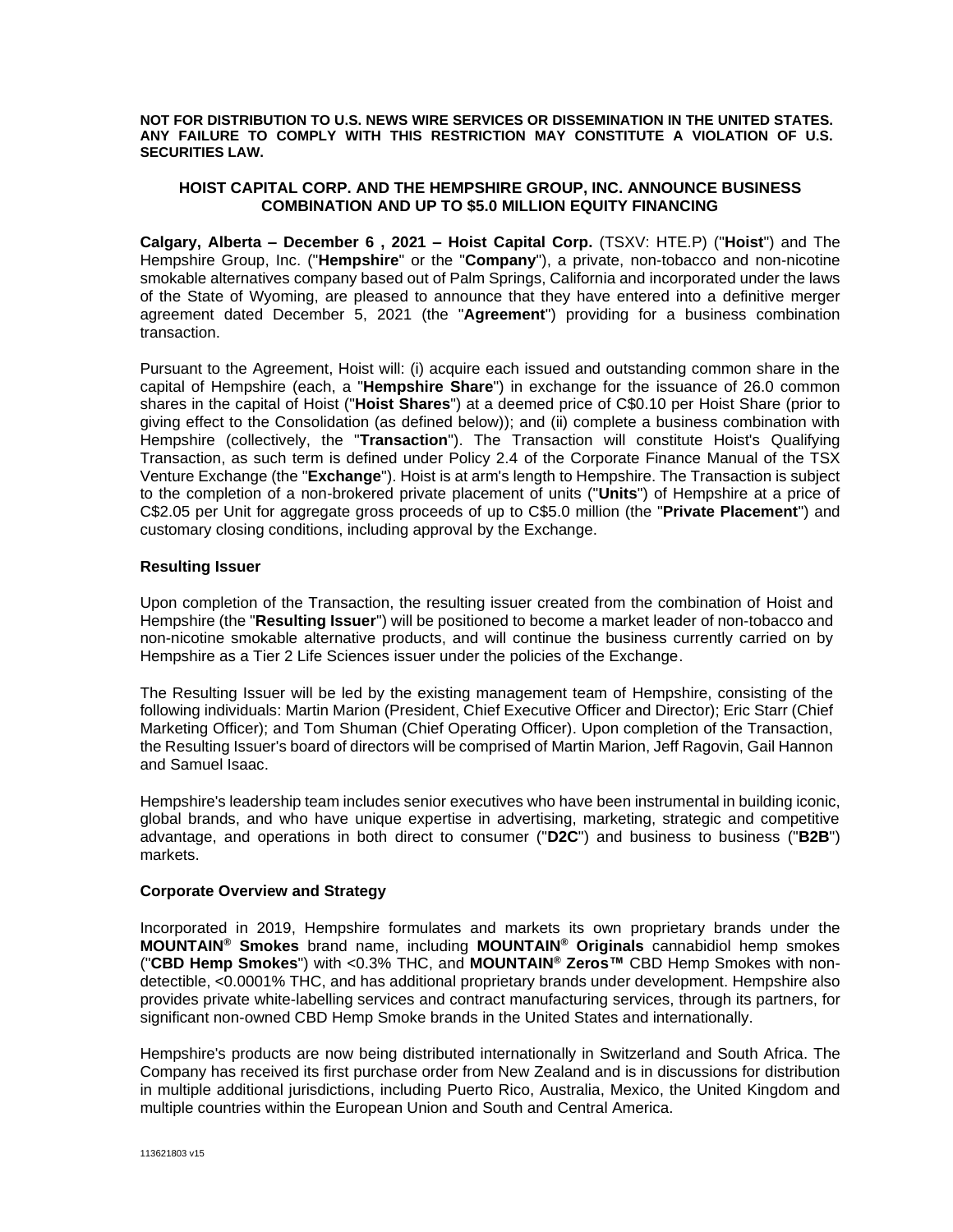**NOT FOR DISTRIBUTION TO U.S. NEWS WIRE SERVICES OR DISSEMINATION IN THE UNITED STATES. ANY FAILURE TO COMPLY WITH THIS RESTRICTION MAY CONSTITUTE A VIOLATION OF U.S. SECURITIES LAW.**

# **HOIST CAPITAL CORP. AND THE HEMPSHIRE GROUP, INC. ANNOUNCE BUSINESS COMBINATION AND UP TO \$5.0 MILLION EQUITY FINANCING**

**Calgary, Alberta – December 6 , 2021 – Hoist Capital Corp.** (TSXV: HTE.P) ("**Hoist**") and The Hempshire Group, Inc. ("**Hempshire**" or the "**Company**"), a private, non-tobacco and non-nicotine smokable alternatives company based out of Palm Springs, California and incorporated under the laws of the State of Wyoming, are pleased to announce that they have entered into a definitive merger agreement dated December 5, 2021 (the "**Agreement**") providing for a business combination transaction.

Pursuant to the Agreement, Hoist will: (i) acquire each issued and outstanding common share in the capital of Hempshire (each, a "**Hempshire Share**") in exchange for the issuance of 26.0 common shares in the capital of Hoist ("**Hoist Shares**") at a deemed price of C\$0.10 per Hoist Share (prior to giving effect to the Consolidation (as defined below)); and (ii) complete a business combination with Hempshire (collectively, the "**Transaction**"). The Transaction will constitute Hoist's Qualifying Transaction, as such term is defined under Policy 2.4 of the Corporate Finance Manual of the TSX Venture Exchange (the "**Exchange**"). Hoist is at arm's length to Hempshire. The Transaction is subject to the completion of a non-brokered private placement of units ("**Units**") of Hempshire at a price of C\$2.05 per Unit for aggregate gross proceeds of up to C\$5.0 million (the "**Private Placement**") and customary closing conditions, including approval by the Exchange.

## **Resulting Issuer**

Upon completion of the Transaction, the resulting issuer created from the combination of Hoist and Hempshire (the "**Resulting Issuer**") will be positioned to become a market leader of non-tobacco and non-nicotine smokable alternative products, and will continue the business currently carried on by Hempshire as a Tier 2 Life Sciences issuer under the policies of the Exchange.

The Resulting Issuer will be led by the existing management team of Hempshire, consisting of the following individuals: Martin Marion (President, Chief Executive Officer and Director); Eric Starr (Chief Marketing Officer); and Tom Shuman (Chief Operating Officer). Upon completion of the Transaction, the Resulting Issuer's board of directors will be comprised of Martin Marion, Jeff Ragovin, Gail Hannon and Samuel Isaac.

Hempshire's leadership team includes senior executives who have been instrumental in building iconic, global brands, and who have unique expertise in advertising, marketing, strategic and competitive advantage, and operations in both direct to consumer ("**D2C**") and business to business ("**B2B**") markets.

## **Corporate Overview and Strategy**

Incorporated in 2019, Hempshire formulates and markets its own proprietary brands under the **MOUNTAIN® Smokes** brand name, including **MOUNTAIN® Originals** cannabidiol hemp smokes ("**CBD Hemp Smokes**") with <0.3% THC, and **MOUNTAIN® Zeros™** CBD Hemp Smokes with nondetectible, <0.0001% THC, and has additional proprietary brands under development. Hempshire also provides private white-labelling services and contract manufacturing services, through its partners, for significant non-owned CBD Hemp Smoke brands in the United States and internationally.

Hempshire's products are now being distributed internationally in Switzerland and South Africa. The Company has received its first purchase order from New Zealand and is in discussions for distribution in multiple additional jurisdictions, including Puerto Rico, Australia, Mexico, the United Kingdom and multiple countries within the European Union and South and Central America.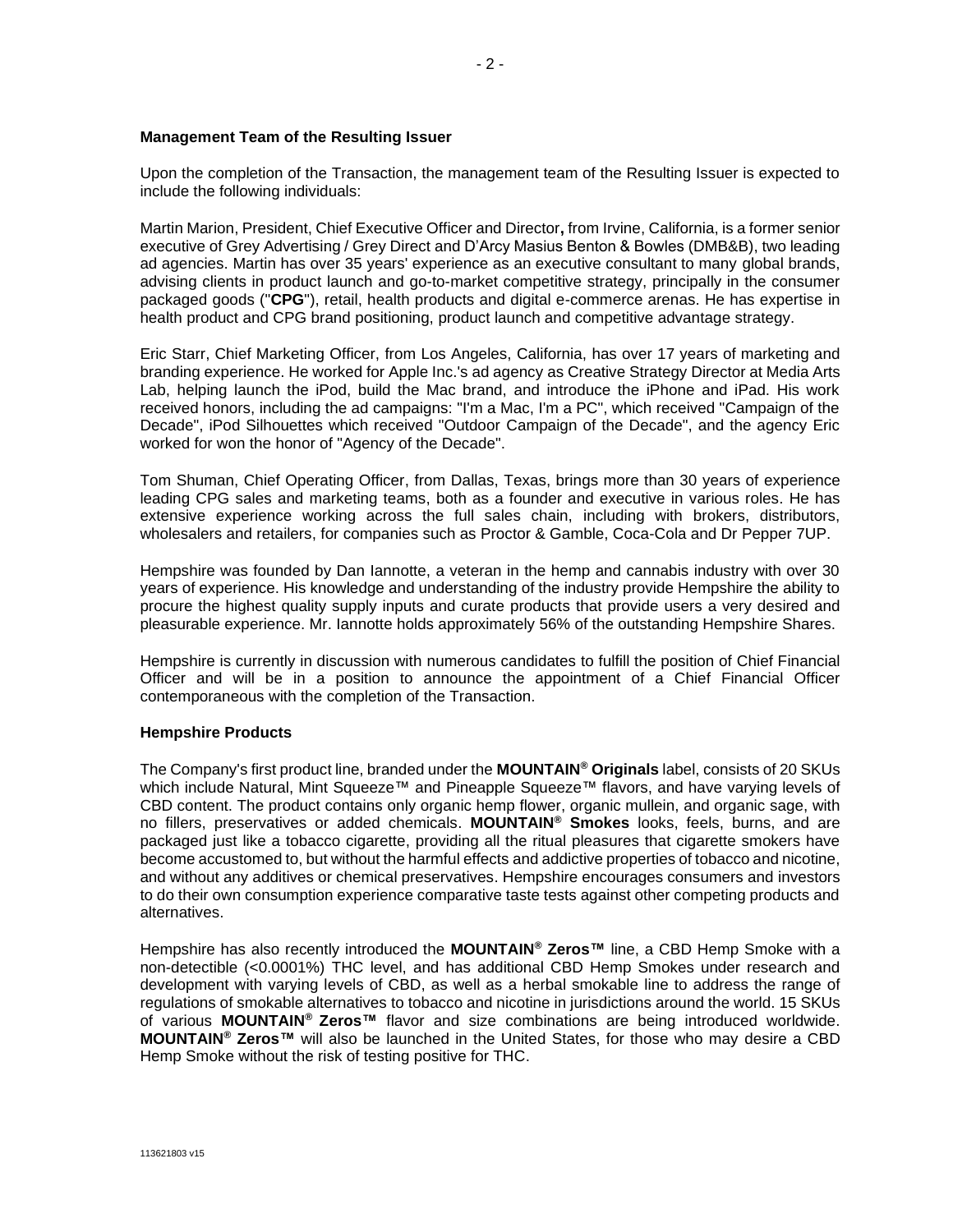### **Management Team of the Resulting Issuer**

Upon the completion of the Transaction, the management team of the Resulting Issuer is expected to include the following individuals:

Martin Marion, President, Chief Executive Officer and Director**,** from Irvine, California, is a former senior executive of Grey Advertising / Grey Direct and D'Arcy Masius Benton & Bowles (DMB&B), two leading ad agencies. Martin has over 35 years' experience as an executive consultant to many global brands, advising clients in product launch and go-to-market competitive strategy, principally in the consumer packaged goods ("**CPG**"), retail, health products and digital e-commerce arenas. He has expertise in health product and CPG brand positioning, product launch and competitive advantage strategy.

Eric Starr, Chief Marketing Officer, from Los Angeles, California, has over 17 years of marketing and branding experience. He worked for Apple Inc.'s ad agency as Creative Strategy Director at Media Arts Lab, helping launch the iPod, build the Mac brand, and introduce the iPhone and iPad. His work received honors, including the ad campaigns: "I'm a Mac, I'm a PC", which received "Campaign of the Decade", iPod Silhouettes which received "Outdoor Campaign of the Decade", and the agency Eric worked for won the honor of "Agency of the Decade".

Tom Shuman, Chief Operating Officer, from Dallas, Texas, brings more than 30 years of experience leading CPG sales and marketing teams, both as a founder and executive in various roles. He has extensive experience working across the full sales chain, including with brokers, distributors, wholesalers and retailers, for companies such as Proctor & Gamble, Coca-Cola and Dr Pepper 7UP.

Hempshire was founded by Dan Iannotte, a veteran in the hemp and cannabis industry with over 30 years of experience. His knowledge and understanding of the industry provide Hempshire the ability to procure the highest quality supply inputs and curate products that provide users a very desired and pleasurable experience. Mr. Iannotte holds approximately 56% of the outstanding Hempshire Shares.

Hempshire is currently in discussion with numerous candidates to fulfill the position of Chief Financial Officer and will be in a position to announce the appointment of a Chief Financial Officer contemporaneous with the completion of the Transaction.

## **Hempshire Products**

The Company's first product line, branded under the **MOUNTAIN® Originals** label, consists of 20 SKUs which include Natural, Mint Squeeze™ and Pineapple Squeeze™ flavors, and have varying levels of CBD content. The product contains only organic hemp flower, organic mullein, and organic sage, with no fillers, preservatives or added chemicals. **MOUNTAIN® Smokes** looks, feels, burns, and are packaged just like a tobacco cigarette, providing all the ritual pleasures that cigarette smokers have become accustomed to, but without the harmful effects and addictive properties of tobacco and nicotine, and without any additives or chemical preservatives. Hempshire encourages consumers and investors to do their own consumption experience comparative taste tests against other competing products and alternatives.

Hempshire has also recently introduced the **MOUNTAIN® Zeros™** line, a CBD Hemp Smoke with a non-detectible (<0.0001%) THC level, and has additional CBD Hemp Smokes under research and development with varying levels of CBD, as well as a herbal smokable line to address the range of regulations of smokable alternatives to tobacco and nicotine in jurisdictions around the world. 15 SKUs of various **MOUNTAIN® Zeros™** flavor and size combinations are being introduced worldwide. **MOUNTAIN® Zeros™** will also be launched in the United States, for those who may desire a CBD Hemp Smoke without the risk of testing positive for THC.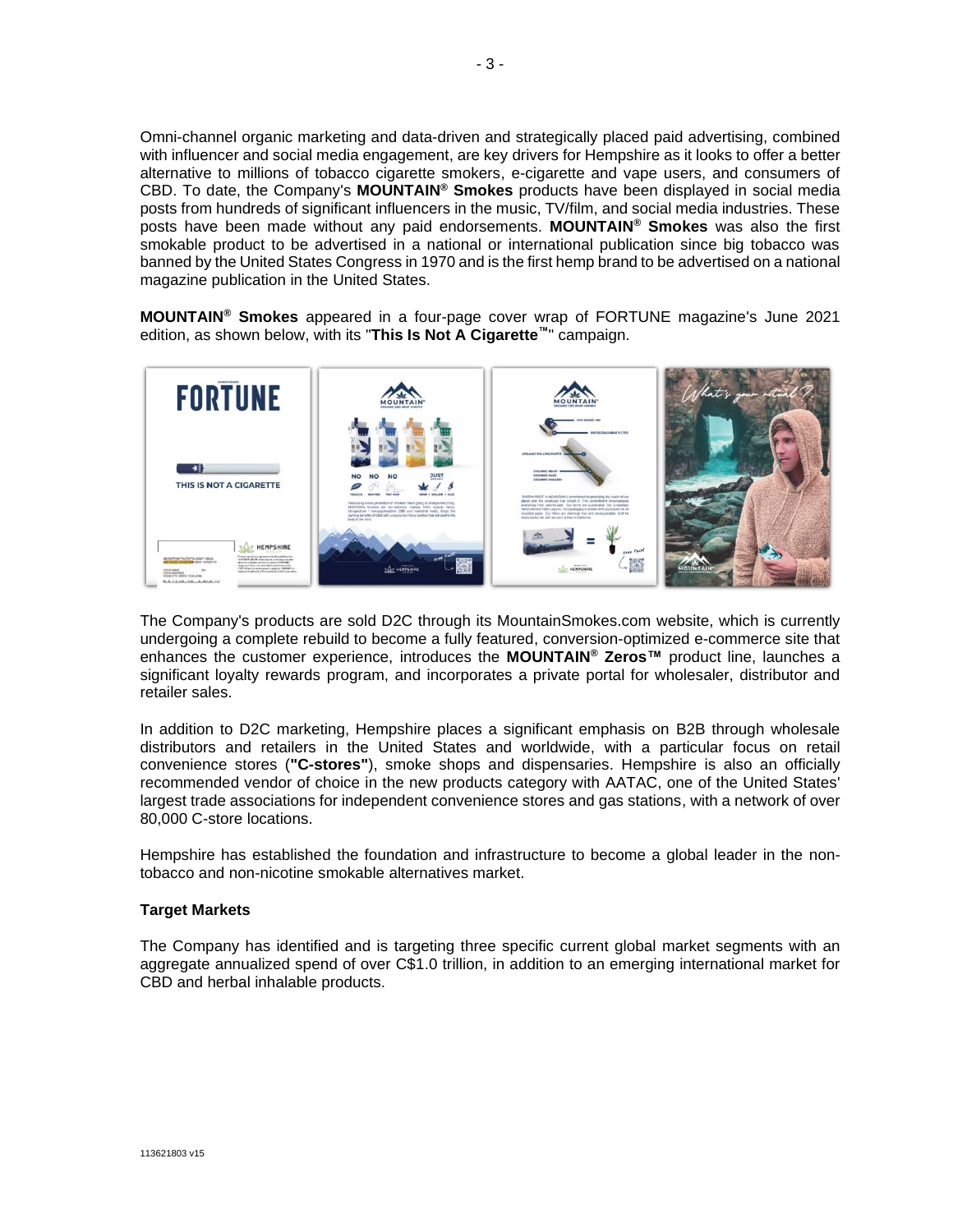Omni-channel organic marketing and data-driven and strategically placed paid advertising, combined with influencer and social media engagement, are key drivers for Hempshire as it looks to offer a better alternative to millions of tobacco cigarette smokers, e-cigarette and vape users, and consumers of CBD. To date, the Company's **MOUNTAIN® Smokes** products have been displayed in social media posts from hundreds of significant influencers in the music, TV/film, and social media industries. These posts have been made without any paid endorsements. **MOUNTAIN® Smokes** was also the first smokable product to be advertised in a national or international publication since big tobacco was banned by the United States Congress in 1970 and is the first hemp brand to be advertised on a national magazine publication in the United States.

**MOUNTAIN® Smokes** appeared in a four-page cover wrap of FORTUNE magazine's June 2021 edition, as shown below, with its "**This Is Not A Cigarette™**" campaign.



The Company's products are sold D2C through its MountainSmokes.com website, which is currently undergoing a complete rebuild to become a fully featured, conversion-optimized e-commerce site that enhances the customer experience, introduces the **MOUNTAIN® Zeros™** product line, launches a significant loyalty rewards program, and incorporates a private portal for wholesaler, distributor and retailer sales.

In addition to D2C marketing, Hempshire places a significant emphasis on B2B through wholesale distributors and retailers in the United States and worldwide, with a particular focus on retail convenience stores (**"C-stores"**), smoke shops and dispensaries. Hempshire is also an officially recommended vendor of choice in the new products category with AATAC, one of the United States' largest trade associations for independent convenience stores and gas stations, with a network of over 80,000 C-store locations.

Hempshire has established the foundation and infrastructure to become a global leader in the nontobacco and non-nicotine smokable alternatives market.

## **Target Markets**

The Company has identified and is targeting three specific current global market segments with an aggregate annualized spend of over C\$1.0 trillion, in addition to an emerging international market for CBD and herbal inhalable products.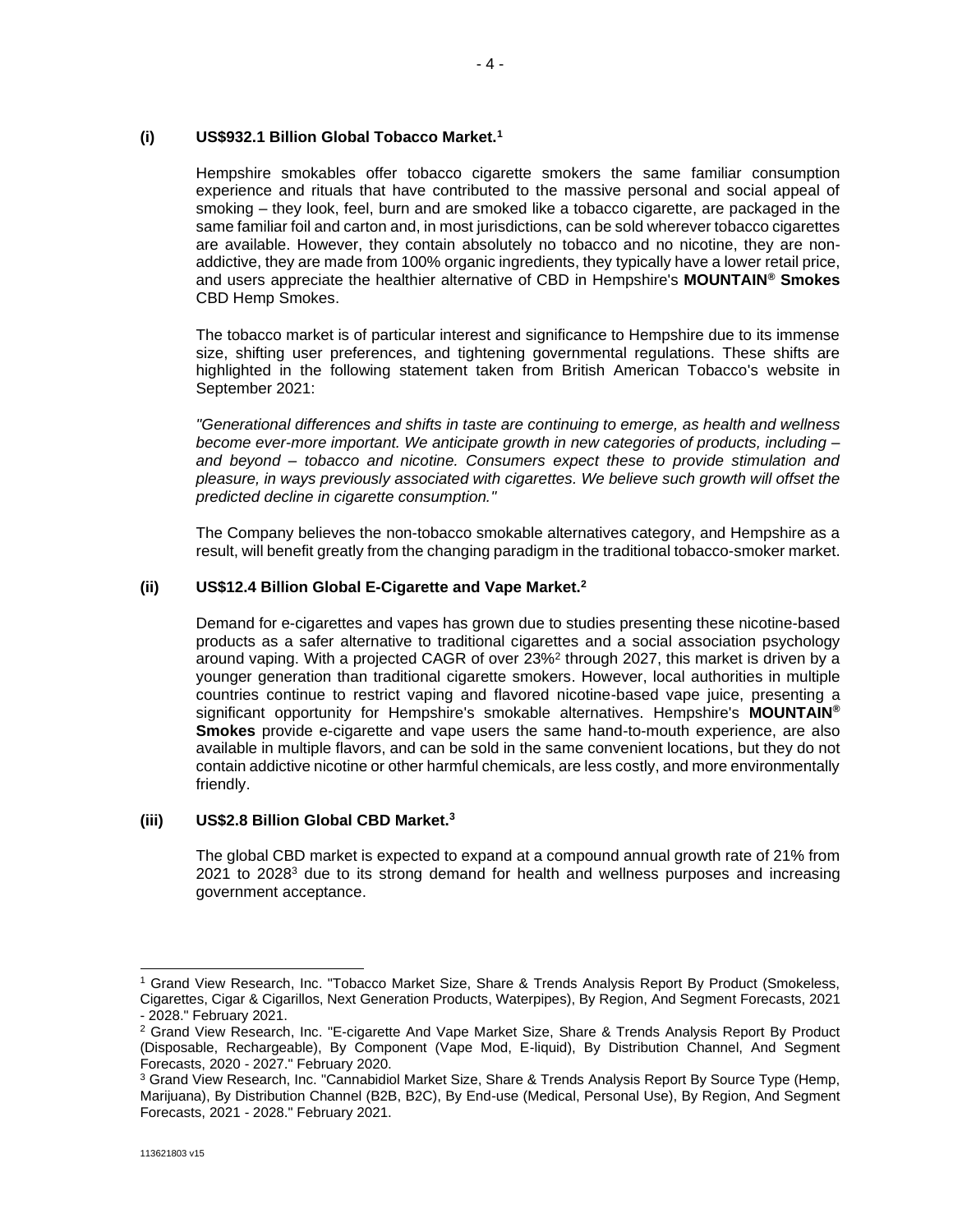# **(i) US\$932.1 Billion Global Tobacco Market.<sup>1</sup>**

Hempshire smokables offer tobacco cigarette smokers the same familiar consumption experience and rituals that have contributed to the massive personal and social appeal of smoking – they look, feel, burn and are smoked like a tobacco cigarette, are packaged in the same familiar foil and carton and, in most jurisdictions, can be sold wherever tobacco cigarettes are available. However, they contain absolutely no tobacco and no nicotine, they are nonaddictive, they are made from 100% organic ingredients, they typically have a lower retail price, and users appreciate the healthier alternative of CBD in Hempshire's **MOUNTAIN® Smokes** CBD Hemp Smokes.

The tobacco market is of particular interest and significance to Hempshire due to its immense size, shifting user preferences, and tightening governmental regulations. These shifts are highlighted in the following statement taken from British American Tobacco's website in September 2021:

*"Generational differences and shifts in taste are continuing to emerge, as health and wellness become ever-more important. We anticipate growth in new categories of products, including – and beyond – tobacco and nicotine. Consumers expect these to provide stimulation and pleasure, in ways previously associated with cigarettes. We believe such growth will offset the predicted decline in cigarette consumption."*

The Company believes the non-tobacco smokable alternatives category, and Hempshire as a result, will benefit greatly from the changing paradigm in the traditional tobacco-smoker market.

# **(ii) US\$12.4 Billion Global E-Cigarette and Vape Market.<sup>2</sup>**

Demand for e-cigarettes and vapes has grown due to studies presenting these nicotine-based products as a safer alternative to traditional cigarettes and a social association psychology around vaping. With a projected CAGR of over 23%<sup>2</sup> through 2027, this market is driven by a younger generation than traditional cigarette smokers. However, local authorities in multiple countries continue to restrict vaping and flavored nicotine-based vape juice, presenting a significant opportunity for Hempshire's smokable alternatives. Hempshire's **MOUNTAIN® Smokes** provide e-cigarette and vape users the same hand-to-mouth experience, are also available in multiple flavors, and can be sold in the same convenient locations, but they do not contain addictive nicotine or other harmful chemicals, are less costly, and more environmentally friendly.

## **(iii) US\$2.8 Billion Global CBD Market.<sup>3</sup>**

The global CBD market is expected to expand at a compound annual growth rate of 21% from  $2021$  to  $2028<sup>3</sup>$  due to its strong demand for health and wellness purposes and increasing government acceptance.

<sup>1</sup> Grand View Research, Inc. "Tobacco Market Size, Share & Trends Analysis Report By Product (Smokeless, Cigarettes, Cigar & Cigarillos, Next Generation Products, Waterpipes), By Region, And Segment Forecasts, 2021 - 2028." February 2021.

<sup>&</sup>lt;sup>2</sup> Grand View Research, Inc. "E-cigarette And Vape Market Size, Share & Trends Analysis Report By Product (Disposable, Rechargeable), By Component (Vape Mod, E-liquid), By Distribution Channel, And Segment Forecasts, 2020 - 2027." February 2020.

<sup>&</sup>lt;sup>3</sup> Grand View Research, Inc. "Cannabidiol Market Size, Share & Trends Analysis Report By Source Type (Hemp, Marijuana), By Distribution Channel (B2B, B2C), By End-use (Medical, Personal Use), By Region, And Segment Forecasts, 2021 - 2028." February 2021.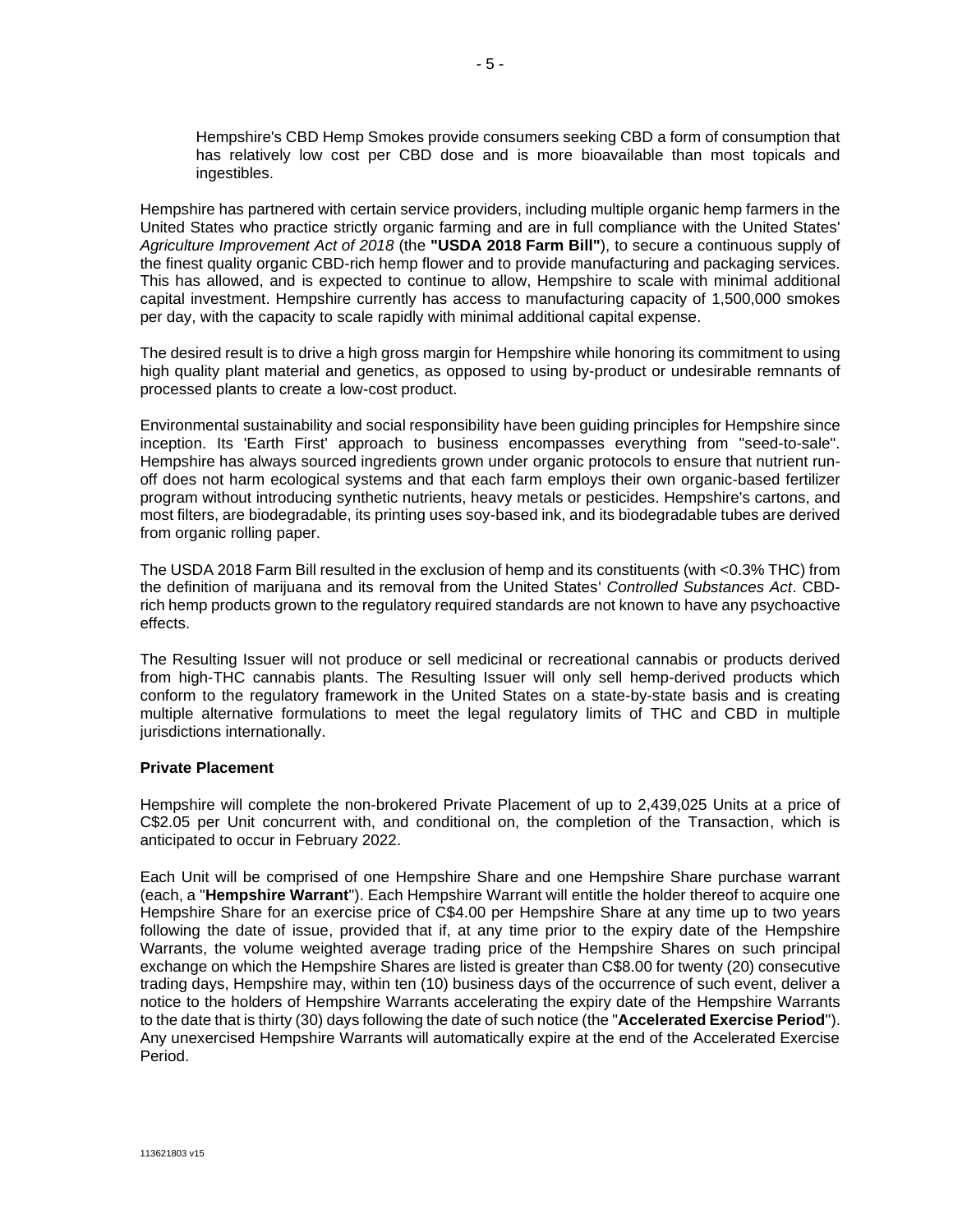Hempshire's CBD Hemp Smokes provide consumers seeking CBD a form of consumption that has relatively low cost per CBD dose and is more bioavailable than most topicals and ingestibles.

Hempshire has partnered with certain service providers, including multiple organic hemp farmers in the United States who practice strictly organic farming and are in full compliance with the United States' *Agriculture Improvement Act of 2018* (the **"USDA 2018 Farm Bill"**), to secure a continuous supply of the finest quality organic CBD-rich hemp flower and to provide manufacturing and packaging services. This has allowed, and is expected to continue to allow, Hempshire to scale with minimal additional capital investment. Hempshire currently has access to manufacturing capacity of 1,500,000 smokes per day, with the capacity to scale rapidly with minimal additional capital expense.

The desired result is to drive a high gross margin for Hempshire while honoring its commitment to using high quality plant material and genetics, as opposed to using by-product or undesirable remnants of processed plants to create a low-cost product.

Environmental sustainability and social responsibility have been guiding principles for Hempshire since inception. Its 'Earth First' approach to business encompasses everything from "seed-to-sale". Hempshire has always sourced ingredients grown under organic protocols to ensure that nutrient runoff does not harm ecological systems and that each farm employs their own organic-based fertilizer program without introducing synthetic nutrients, heavy metals or pesticides. Hempshire's cartons, and most filters, are biodegradable, its printing uses soy-based ink, and its biodegradable tubes are derived from organic rolling paper.

The USDA 2018 Farm Bill resulted in the exclusion of hemp and its constituents (with <0.3% THC) from the definition of marijuana and its removal from the United States' *Controlled Substances Act*. CBDrich hemp products grown to the regulatory required standards are not known to have any psychoactive effects.

The Resulting Issuer will not produce or sell medicinal or recreational cannabis or products derived from high-THC cannabis plants. The Resulting Issuer will only sell hemp-derived products which conform to the regulatory framework in the United States on a state-by-state basis and is creating multiple alternative formulations to meet the legal regulatory limits of THC and CBD in multiple jurisdictions internationally.

## **Private Placement**

Hempshire will complete the non-brokered Private Placement of up to 2,439,025 Units at a price of C\$2.05 per Unit concurrent with, and conditional on, the completion of the Transaction, which is anticipated to occur in February 2022.

Each Unit will be comprised of one Hempshire Share and one Hempshire Share purchase warrant (each, a "**Hempshire Warrant**"). Each Hempshire Warrant will entitle the holder thereof to acquire one Hempshire Share for an exercise price of C\$4.00 per Hempshire Share at any time up to two years following the date of issue, provided that if, at any time prior to the expiry date of the Hempshire Warrants, the volume weighted average trading price of the Hempshire Shares on such principal exchange on which the Hempshire Shares are listed is greater than C\$8.00 for twenty (20) consecutive trading days, Hempshire may, within ten (10) business days of the occurrence of such event, deliver a notice to the holders of Hempshire Warrants accelerating the expiry date of the Hempshire Warrants to the date that is thirty (30) days following the date of such notice (the "**Accelerated Exercise Period**"). Any unexercised Hempshire Warrants will automatically expire at the end of the Accelerated Exercise Period.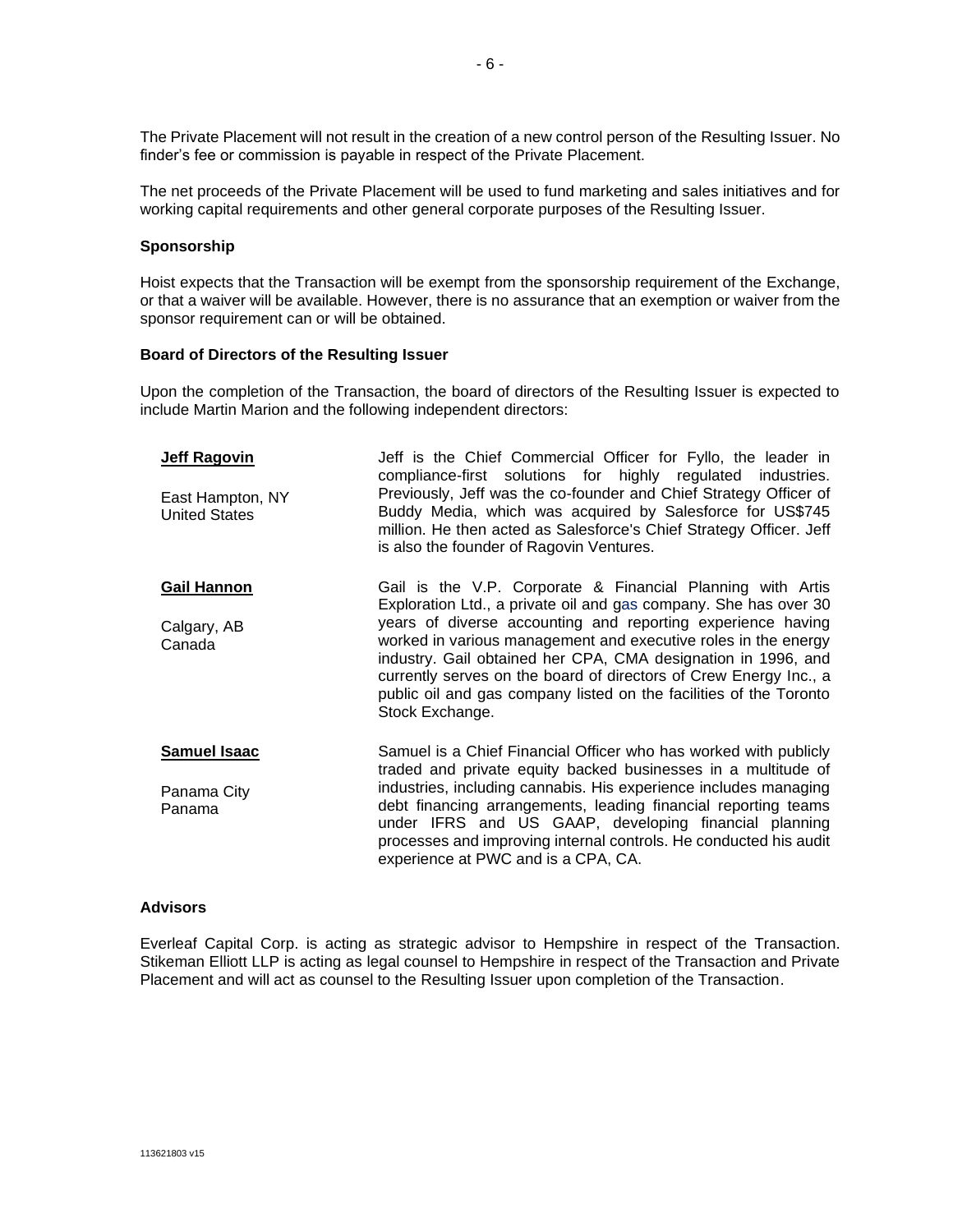The Private Placement will not result in the creation of a new control person of the Resulting Issuer. No finder's fee or commission is payable in respect of the Private Placement.

The net proceeds of the Private Placement will be used to fund marketing and sales initiatives and for working capital requirements and other general corporate purposes of the Resulting Issuer.

### **Sponsorship**

Hoist expects that the Transaction will be exempt from the sponsorship requirement of the Exchange, or that a waiver will be available. However, there is no assurance that an exemption or waiver from the sponsor requirement can or will be obtained.

#### **Board of Directors of the Resulting Issuer**

Upon the completion of the Transaction, the board of directors of the Resulting Issuer is expected to include Martin Marion and the following independent directors:

| <b>Jeff Ragovin</b>                      | Jeff is the Chief Commercial Officer for Fyllo, the leader in<br>compliance-first solutions for highly regulated industries.                                                                                                                                                                                                                                 |
|------------------------------------------|--------------------------------------------------------------------------------------------------------------------------------------------------------------------------------------------------------------------------------------------------------------------------------------------------------------------------------------------------------------|
| East Hampton, NY<br><b>United States</b> | Previously, Jeff was the co-founder and Chief Strategy Officer of<br>Buddy Media, which was acquired by Salesforce for US\$745<br>million. He then acted as Salesforce's Chief Strategy Officer. Jeff<br>is also the founder of Ragovin Ventures.                                                                                                            |
| <b>Gail Hannon</b>                       | Gail is the V.P. Corporate & Financial Planning with Artis<br>Exploration Ltd., a private oil and gas company. She has over 30                                                                                                                                                                                                                               |
| Calgary, AB<br>Canada                    | years of diverse accounting and reporting experience having<br>worked in various management and executive roles in the energy<br>industry. Gail obtained her CPA, CMA designation in 1996, and<br>currently serves on the board of directors of Crew Energy Inc., a<br>public oil and gas company listed on the facilities of the Toronto<br>Stock Exchange. |
| <b>Samuel Isaac</b>                      | Samuel is a Chief Financial Officer who has worked with publicly<br>traded and private equity backed businesses in a multitude of                                                                                                                                                                                                                            |
| Panama City<br>Panama                    | industries, including cannabis. His experience includes managing<br>debt financing arrangements, leading financial reporting teams<br>under IFRS and US GAAP, developing financial planning<br>processes and improving internal controls. He conducted his audit<br>experience at PWC and is a CPA, CA.                                                      |

### **Advisors**

Everleaf Capital Corp. is acting as strategic advisor to Hempshire in respect of the Transaction. Stikeman Elliott LLP is acting as legal counsel to Hempshire in respect of the Transaction and Private Placement and will act as counsel to the Resulting Issuer upon completion of the Transaction.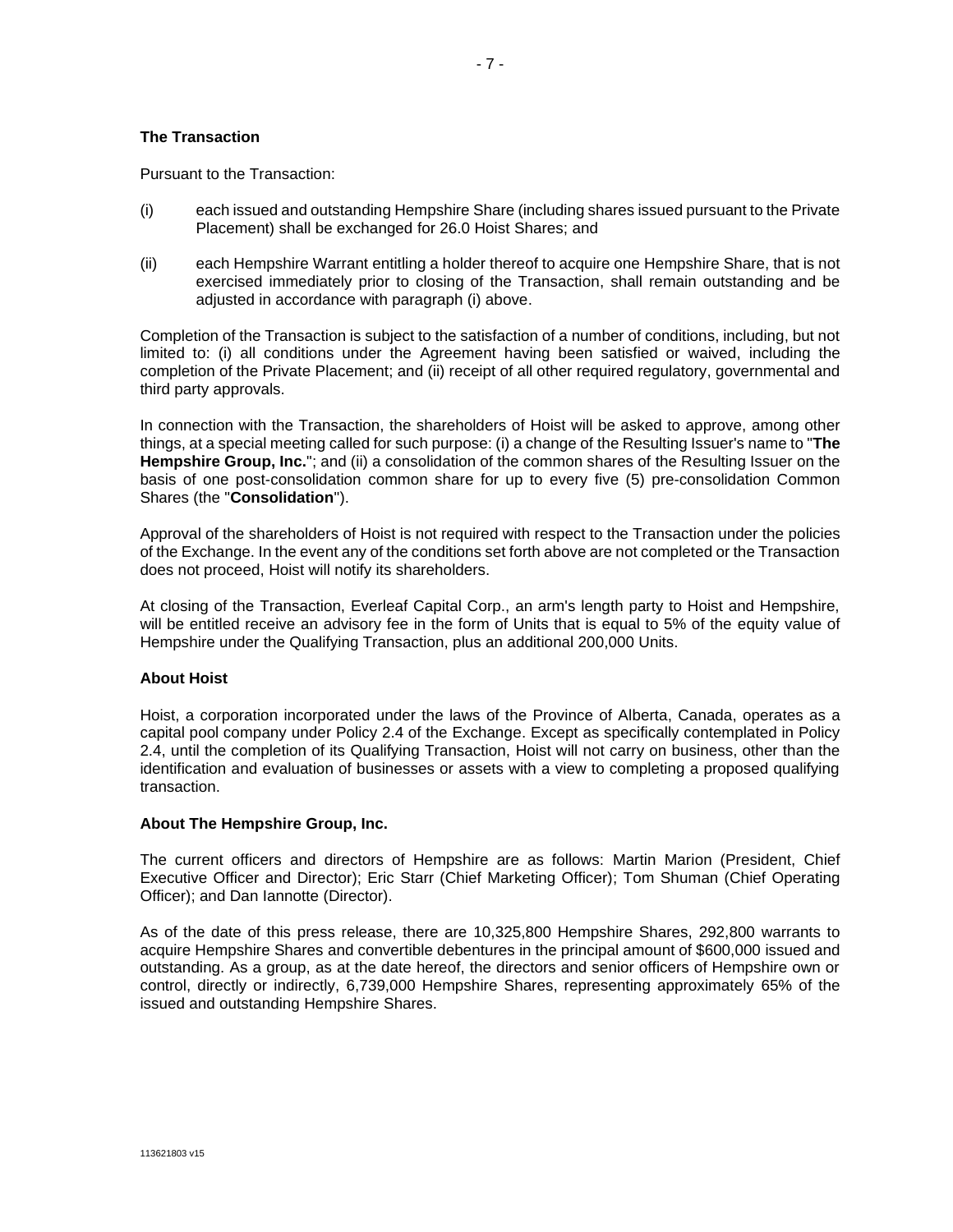## **The Transaction**

Pursuant to the Transaction:

- (i) each issued and outstanding Hempshire Share (including shares issued pursuant to the Private Placement) shall be exchanged for 26.0 Hoist Shares; and
- (ii) each Hempshire Warrant entitling a holder thereof to acquire one Hempshire Share, that is not exercised immediately prior to closing of the Transaction, shall remain outstanding and be adjusted in accordance with paragraph (i) above.

Completion of the Transaction is subject to the satisfaction of a number of conditions, including, but not limited to: (i) all conditions under the Agreement having been satisfied or waived, including the completion of the Private Placement; and (ii) receipt of all other required regulatory, governmental and third party approvals.

In connection with the Transaction, the shareholders of Hoist will be asked to approve, among other things, at a special meeting called for such purpose: (i) a change of the Resulting Issuer's name to "**The Hempshire Group, Inc.**"; and (ii) a consolidation of the common shares of the Resulting Issuer on the basis of one post-consolidation common share for up to every five (5) pre-consolidation Common Shares (the "**Consolidation**").

Approval of the shareholders of Hoist is not required with respect to the Transaction under the policies of the Exchange. In the event any of the conditions set forth above are not completed or the Transaction does not proceed, Hoist will notify its shareholders.

At closing of the Transaction, Everleaf Capital Corp., an arm's length party to Hoist and Hempshire, will be entitled receive an advisory fee in the form of Units that is equal to 5% of the equity value of Hempshire under the Qualifying Transaction, plus an additional 200,000 Units.

#### **About Hoist**

Hoist, a corporation incorporated under the laws of the Province of Alberta, Canada, operates as a capital pool company under Policy 2.4 of the Exchange. Except as specifically contemplated in Policy 2.4, until the completion of its Qualifying Transaction, Hoist will not carry on business, other than the identification and evaluation of businesses or assets with a view to completing a proposed qualifying transaction.

#### **About The Hempshire Group, Inc.**

The current officers and directors of Hempshire are as follows: Martin Marion (President, Chief Executive Officer and Director); Eric Starr (Chief Marketing Officer); Tom Shuman (Chief Operating Officer); and Dan Iannotte (Director).

As of the date of this press release, there are 10,325,800 Hempshire Shares, 292,800 warrants to acquire Hempshire Shares and convertible debentures in the principal amount of \$600,000 issued and outstanding. As a group, as at the date hereof, the directors and senior officers of Hempshire own or control, directly or indirectly, 6,739,000 Hempshire Shares, representing approximately 65% of the issued and outstanding Hempshire Shares.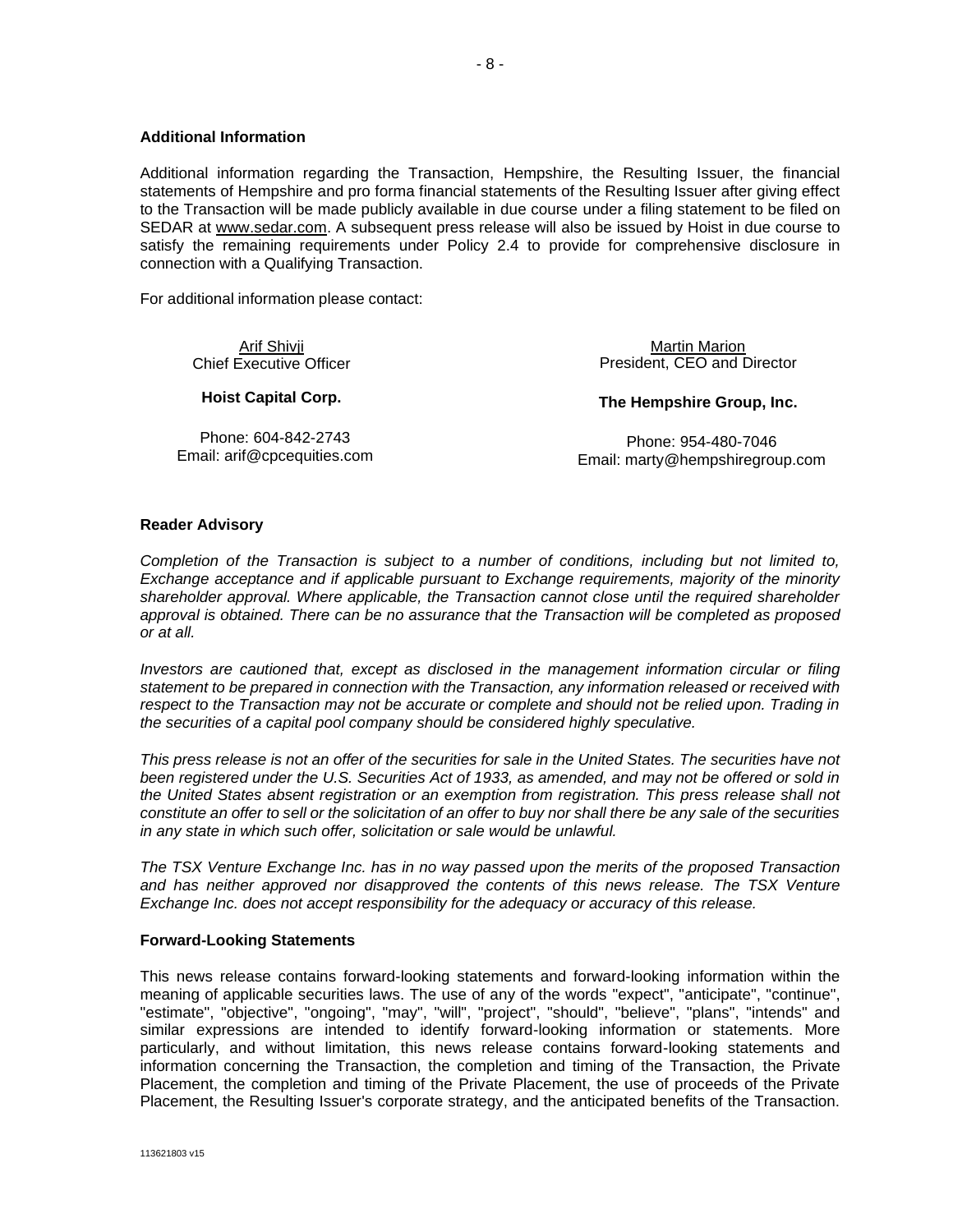### **Additional Information**

Additional information regarding the Transaction, Hempshire, the Resulting Issuer, the financial statements of Hempshire and pro forma financial statements of the Resulting Issuer after giving effect to the Transaction will be made publicly available in due course under a filing statement to be filed on SEDAR at [www.sedar.com.](http://www.sedar.com/) A subsequent press release will also be issued by Hoist in due course to satisfy the remaining requirements under Policy 2.4 to provide for comprehensive disclosure in connection with a Qualifying Transaction.

For additional information please contact:

Arif Shivji Chief Executive Officer

**Hoist Capital Corp.**

Phone: 604-842-2743 Email: arif@cpcequities.com

Martin Marion President, CEO and Director

**The Hempshire Group, Inc.**

Phone: 954-480-7046 Email: [marty@hempshiregroup.com](mailto:marty@hempshiregroup.com)

### **Reader Advisory**

*Completion of the Transaction is subject to a number of conditions, including but not limited to, Exchange acceptance and if applicable pursuant to Exchange requirements, majority of the minority shareholder approval. Where applicable, the Transaction cannot close until the required shareholder approval is obtained. There can be no assurance that the Transaction will be completed as proposed or at all.* 

*Investors are cautioned that, except as disclosed in the management information circular or filing statement to be prepared in connection with the Transaction, any information released or received with*  respect to the Transaction may not be accurate or complete and should not be relied upon. Trading in *the securities of a capital pool company should be considered highly speculative.*

*This press release is not an offer of the securities for sale in the United States. The securities have not been registered under the U.S. Securities Act of 1933, as amended, and may not be offered or sold in the United States absent registration or an exemption from registration. This press release shall not constitute an offer to sell or the solicitation of an offer to buy nor shall there be any sale of the securities in any state in which such offer, solicitation or sale would be unlawful.*

*The TSX Venture Exchange Inc. has in no way passed upon the merits of the proposed Transaction and has neither approved nor disapproved the contents of this news release. The TSX Venture Exchange Inc. does not accept responsibility for the adequacy or accuracy of this release.*

#### **Forward-Looking Statements**

This news release contains forward-looking statements and forward-looking information within the meaning of applicable securities laws. The use of any of the words "expect", "anticipate", "continue", "estimate", "objective", "ongoing", "may", "will", "project", "should", "believe", "plans", "intends" and similar expressions are intended to identify forward-looking information or statements. More particularly, and without limitation, this news release contains forward-looking statements and information concerning the Transaction, the completion and timing of the Transaction, the Private Placement, the completion and timing of the Private Placement, the use of proceeds of the Private Placement, the Resulting Issuer's corporate strategy, and the anticipated benefits of the Transaction.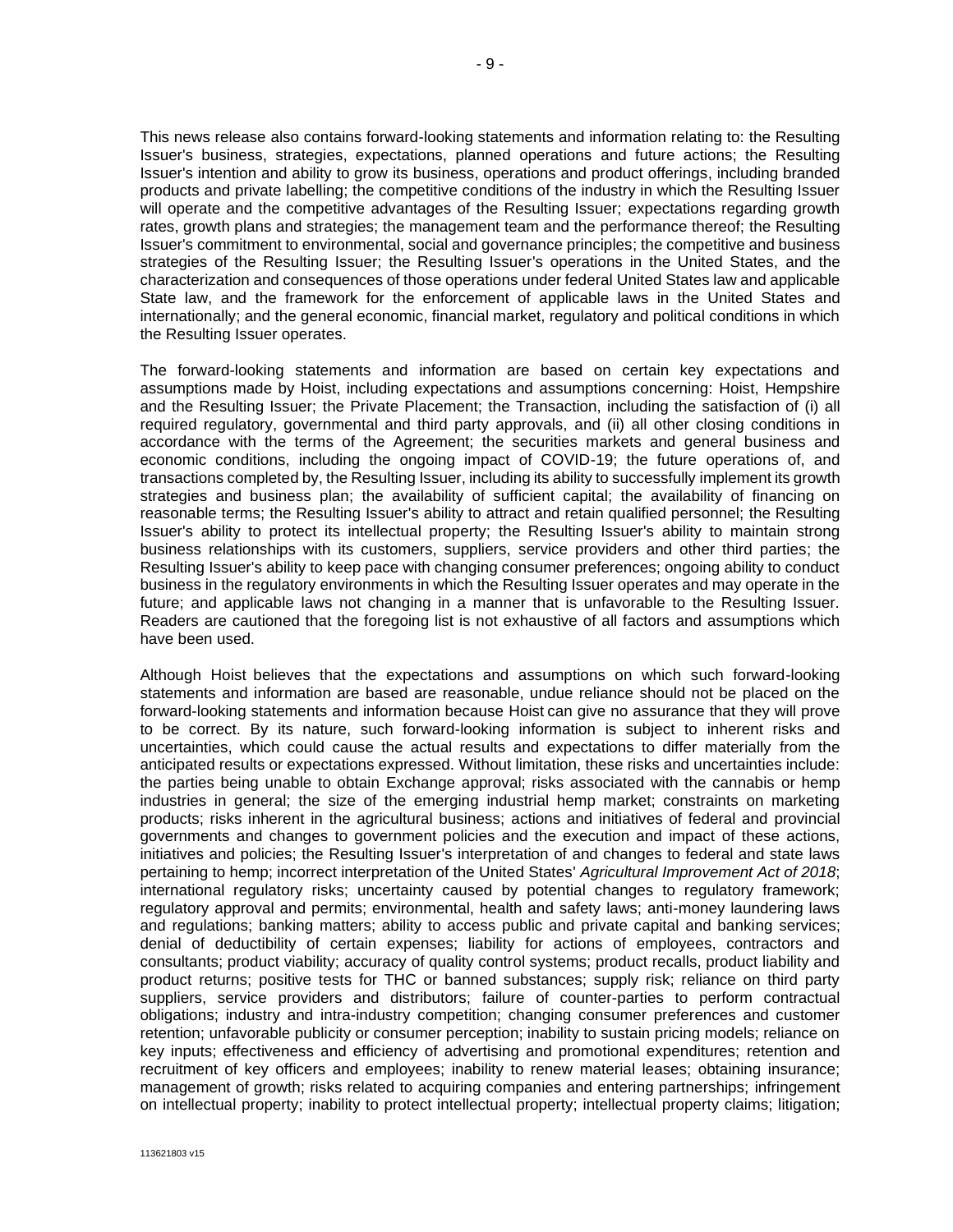This news release also contains forward-looking statements and information relating to: the Resulting Issuer's business, strategies, expectations, planned operations and future actions; the Resulting Issuer's intention and ability to grow its business, operations and product offerings, including branded products and private labelling; the competitive conditions of the industry in which the Resulting Issuer will operate and the competitive advantages of the Resulting Issuer; expectations regarding growth rates, growth plans and strategies; the management team and the performance thereof; the Resulting Issuer's commitment to environmental, social and governance principles; the competitive and business strategies of the Resulting Issuer; the Resulting Issuer's operations in the United States, and the characterization and consequences of those operations under federal United States law and applicable State law, and the framework for the enforcement of applicable laws in the United States and internationally; and the general economic, financial market, regulatory and political conditions in which the Resulting Issuer operates.

The forward-looking statements and information are based on certain key expectations and assumptions made by Hoist, including expectations and assumptions concerning: Hoist, Hempshire and the Resulting Issuer; the Private Placement; the Transaction, including the satisfaction of (i) all required regulatory, governmental and third party approvals, and (ii) all other closing conditions in accordance with the terms of the Agreement; the securities markets and general business and economic conditions, including the ongoing impact of COVID-19; the future operations of, and transactions completed by, the Resulting Issuer, including its ability to successfully implement its growth strategies and business plan; the availability of sufficient capital; the availability of financing on reasonable terms; the Resulting Issuer's ability to attract and retain qualified personnel; the Resulting Issuer's ability to protect its intellectual property; the Resulting Issuer's ability to maintain strong business relationships with its customers, suppliers, service providers and other third parties; the Resulting Issuer's ability to keep pace with changing consumer preferences; ongoing ability to conduct business in the regulatory environments in which the Resulting Issuer operates and may operate in the future; and applicable laws not changing in a manner that is unfavorable to the Resulting Issuer. Readers are cautioned that the foregoing list is not exhaustive of all factors and assumptions which have been used.

Although Hoist believes that the expectations and assumptions on which such forward-looking statements and information are based are reasonable, undue reliance should not be placed on the forward-looking statements and information because Hoist can give no assurance that they will prove to be correct. By its nature, such forward-looking information is subject to inherent risks and uncertainties, which could cause the actual results and expectations to differ materially from the anticipated results or expectations expressed. Without limitation, these risks and uncertainties include: the parties being unable to obtain Exchange approval; risks associated with the cannabis or hemp industries in general; the size of the emerging industrial hemp market; constraints on marketing products; risks inherent in the agricultural business; actions and initiatives of federal and provincial governments and changes to government policies and the execution and impact of these actions, initiatives and policies; the Resulting Issuer's interpretation of and changes to federal and state laws pertaining to hemp; incorrect interpretation of the United States' *Agricultural Improvement Act of 2018*; international regulatory risks; uncertainty caused by potential changes to regulatory framework; regulatory approval and permits; environmental, health and safety laws; anti-money laundering laws and regulations; banking matters; ability to access public and private capital and banking services; denial of deductibility of certain expenses; liability for actions of employees, contractors and consultants; product viability; accuracy of quality control systems; product recalls, product liability and product returns; positive tests for THC or banned substances; supply risk; reliance on third party suppliers, service providers and distributors; failure of counter-parties to perform contractual obligations; industry and intra-industry competition; changing consumer preferences and customer retention; unfavorable publicity or consumer perception; inability to sustain pricing models; reliance on key inputs; effectiveness and efficiency of advertising and promotional expenditures; retention and recruitment of key officers and employees; inability to renew material leases; obtaining insurance; management of growth; risks related to acquiring companies and entering partnerships; infringement on intellectual property; inability to protect intellectual property; intellectual property claims; litigation;